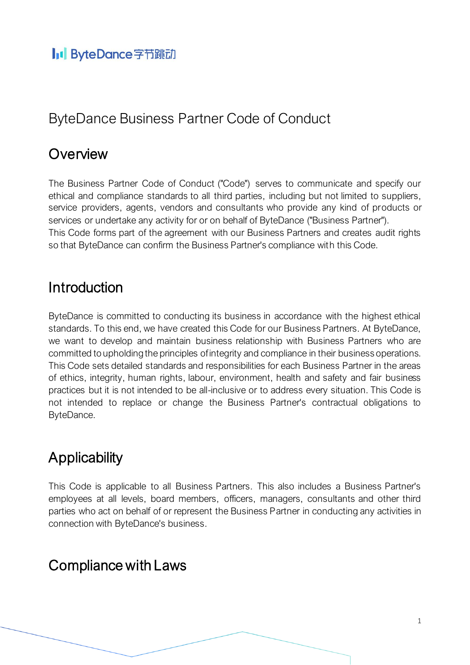# ByteDance Business Partner Code of Conduct

## **Overview**

The Business Partner Code of Conduct ("Code") serves to communicate and specify our ethical and compliance standards to all third parties, including but not limited to suppliers, service providers, agents, vendors and consultants who provide any kind of products or services or undertake any activity for or on behalf of ByteDance ("Business Partner"). This Code forms part of the agreement with our Business Partners and creates audit rights so that ByteDance can confirm the Business Partner's compliance with this Code.

#### **Introduction**

ByteDance is committed to conducting its business in accordance with the highest ethical standards. To this end, we have created this Code for our Business Partners. At ByteDance, we want to develop and maintain business relationship with Business Partners who are committed to upholding the principles of integrity and compliance in their business operations. This Code sets detailed standards and responsibilities for each Business Partner in the areas of ethics, integrity, human rights, labour, environment, health and safety and fair business practices but it is not intended to be all-inclusive or to address every situation. This Code is not intended to replace or change the Business Partner's contractual obligations to ByteDance.

# **Applicability**

This Code is applicable to all Business Partners. This also includes a Business Partner's employees at all levels, board members, officers, managers, consultants and other third parties who act on behalf of or represent the Business Partner in conducting any activities in connection with ByteDance's business.

## Compliance with Laws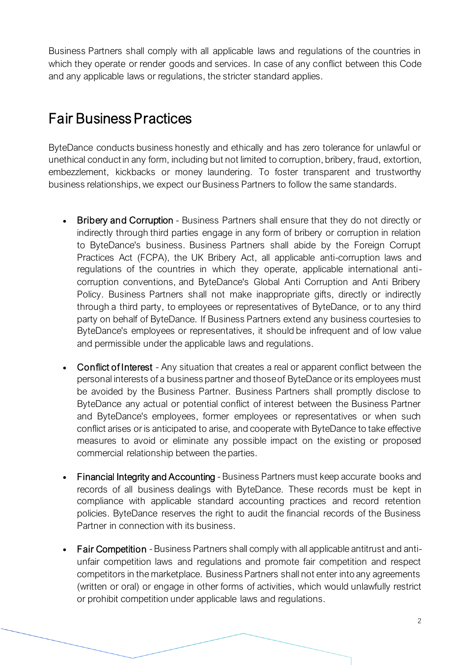Business Partners shall comply with all applicable laws and regulations of the countries in which they operate or render goods and services. In case of any conflict between this Code and any applicable laws or regulations, the stricter standard applies.

## Fair Business Practices

ByteDance conducts business honestly and ethically and has zero tolerance for unlawful or unethical conduct in any form, including but not limited to corruption, bribery, fraud, extortion, embezzlement, kickbacks or money laundering. To foster transparent and trustworthy business relationships, we expect our Business Partners to follow the same standards.

- Bribery and Corruption Business Partners shall ensure that they do not directly or indirectly through third parties engage in any form of bribery or corruption in relation to ByteDance's business. Business Partners shall abide by the Foreign Corrupt Practices Act (FCPA), the UK Bribery Act, all applicable anti-corruption laws and regulations of the countries in which they operate, applicable international anticorruption conventions, and ByteDance's Global Anti Corruption and Anti Bribery Policy. Business Partners shall not make inappropriate gifts, directly or indirectly through a third party, to employees or representatives of ByteDance, or to any third party on behalf of ByteDance. If Business Partners extend any business courtesies to ByteDance's employees or representatives, it should be infrequent and of low value and permissible under the applicable laws and regulations.
- Conflict of Interest Any situation that creates a real or apparent conflict between the personal interests of a business partner and those of ByteDance or its employees must be avoided by the Business Partner. Business Partners shall promptly disclose to ByteDance any actual or potential conflict of interest between the Business Partner and ByteDance's employees, former employees or representatives or when such conflict arises or is anticipated to arise, and cooperate with ByteDance to take effective measures to avoid or eliminate any possible impact on the existing or proposed commercial relationship between the parties.
- Financial Integrity and Accounting Business Partners must keep accurate books and records of all business dealings with ByteDance. These records must be kept in compliance with applicable standard accounting practices and record retention policies. ByteDance reserves the right to audit the financial records of the Business Partner in connection with its business.
- Fair Competition Business Partners shall comply with all applicable antitrust and antiunfair competition laws and regulations and promote fair competition and respect competitors in the marketplace. Business Partners shall not enter into any agreements (written or oral) or engage in other forms of activities, which would unlawfully restrict or prohibit competition under applicable laws and regulations.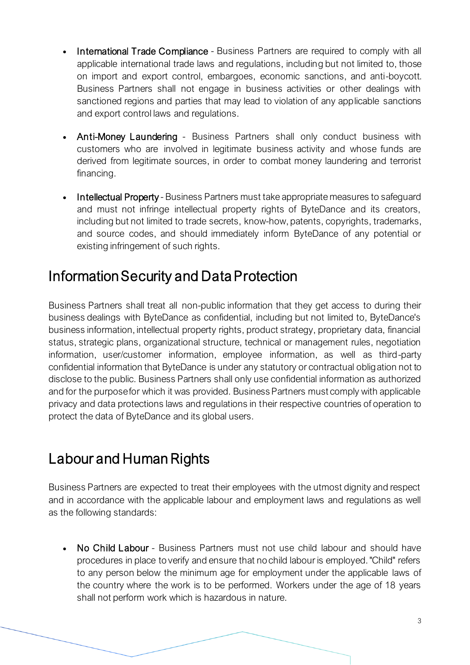- International Trade Compliance Business Partners are required to comply with all applicable international trade laws and regulations, including but not limited to, those on import and export control, embargoes, economic sanctions, and anti-boycott. Business Partners shall not engage in business activities or other dealings with sanctioned regions and parties that may lead to violation of any applicable sanctions and export control laws and regulations.
- Anti-Money Laundering Business Partners shall only conduct business with customers who are involved in legitimate business activity and whose funds are derived from legitimate sources, in order to combat money laundering and terrorist financing.
- Intellectual Property Business Partners must take appropriate measures to safeguard and must not infringe intellectual property rights of ByteDance and its creators, including but not limited to trade secrets, know-how, patents, copyrights, trademarks, and source codes, and should immediately inform ByteDance of any potential or existing infringement of such rights.

## Information Security and Data Protection

Business Partners shall treat all non-public information that they get access to during their business dealings with ByteDance as confidential, including but not limited to, ByteDance's business information, intellectual property rights, product strategy, proprietary data, financial status, strategic plans, organizational structure, technical or management rules, negotiation information, user/customer information, employee information, as well as third-party confidential information that ByteDance is under any statutory or contractual obligation not to disclose to the public. Business Partners shall only use confidential information as authorized and for the purpose for which it was provided. Business Partners must comply with applicable privacy and data protections laws and regulations in their respective countries of operation to protect the data of ByteDance and its global users.

# Labour and Human Rights

Business Partners are expected to treat their employees with the utmost dignity and respect and in accordance with the applicable labour and employment laws and regulations as well as the following standards:

• No Child Labour - Business Partners must not use child labour and should have procedures in place to verify and ensure that no child labour is employed. "Child" refers to any person below the minimum age for employment under the applicable laws of the country where the work is to be performed. Workers under the age of 18 years shall not perform work which is hazardous in nature.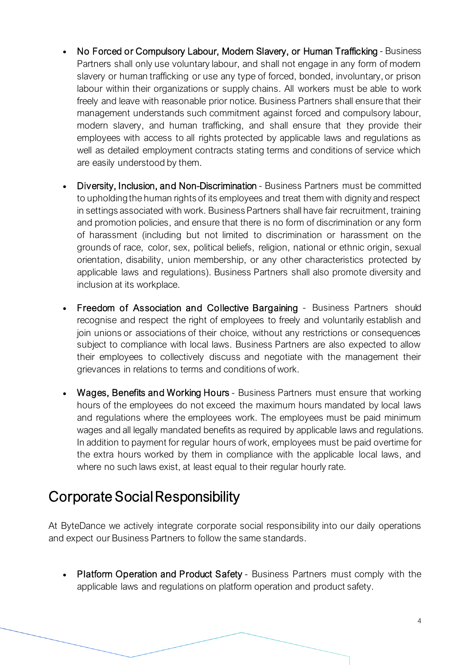- No Forced or Compulsory Labour, Modern Slavery, or Human Trafficking Business Partners shall only use voluntary labour, and shall not engage in any form of modern slavery or human trafficking or use any type of forced, bonded, involuntary, or prison labour within their organizations or supply chains. All workers must be able to work freely and leave with reasonable prior notice. Business Partners shall ensure that their management understands such commitment against forced and compulsory labour, modern slavery, and human trafficking, and shall ensure that they provide their employees with access to all rights protected by applicable laws and regulations as well as detailed employment contracts stating terms and conditions of service which are easily understood by them.
- Diversity, Inclusion, and Non-Discrimination Business Partners must be committed to upholding the human rights of its employees and treat them with dignity and respect in settings associated with work. Business Partners shall have fair recruitment, training and promotion policies, and ensure that there is no form of discrimination or any form of harassment (including but not limited to discrimination or harassment on the grounds of race, color, sex, political beliefs, religion, national or ethnic origin, sexual orientation, disability, union membership, or any other characteristics protected by applicable laws and regulations). Business Partners shall also promote diversity and inclusion at its workplace.
- Freedom of Association and Collective Bargaining Business Partners should recognise and respect the right of employees to freely and voluntarily establish and join unions or associations of their choice, without any restrictions or consequences subject to compliance with local laws. Business Partners are also expected to allow their employees to collectively discuss and negotiate with the management their grievances in relations to terms and conditions of work.
- Wages, Benefits and Working Hours Business Partners must ensure that working hours of the employees do not exceed the maximum hours mandated by local laws and regulations where the employees work. The employees must be paid minimum wages and all legally mandated benefits as required by applicable laws and regulations. In addition to payment for regular hours of work, employees must be paid overtime for the extra hours worked by them in compliance with the applicable local laws, and where no such laws exist, at least equal to their regular hourly rate.

#### Corporate Social Responsibility

At ByteDance we actively integrate corporate social responsibility into our daily operations and expect our Business Partners to follow the same standards.

• Platform Operation and Product Safety - Business Partners must comply with the applicable laws and regulations on platform operation and product safety.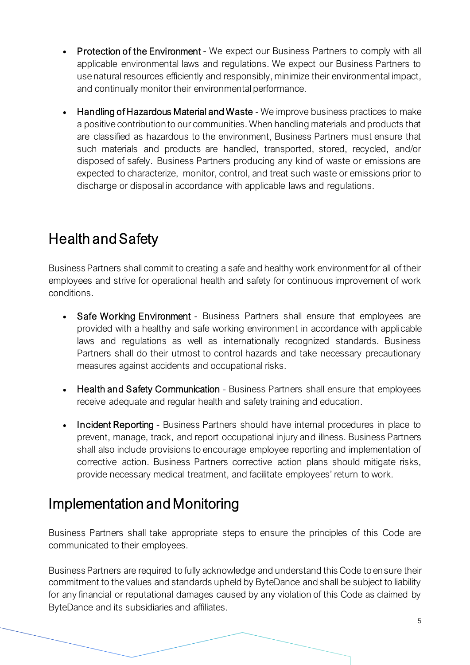- **Protection of the Environment** We expect our Business Partners to comply with all applicable environmental laws and regulations. We expect our Business Partners to use natural resources efficiently and responsibly, minimize their environmental impact, and continually monitor their environmental performance.
- Handling of Hazardous Material and Waste We improve business practices to make a positive contribution to our communities. When handling materials and products that are classified as hazardous to the environment, Business Partners must ensure that such materials and products are handled, transported, stored, recycled, and/or disposed of safely. Business Partners producing any kind of waste or emissions are expected to characterize, monitor, control, and treat such waste or emissions prior to discharge or disposal in accordance with applicable laws and regulations.

# Health and Safety

Business Partners shall commit to creating a safe and healthy work environment for all of their employees and strive for operational health and safety for continuous improvement of work conditions.

- Safe Working Environment Business Partners shall ensure that employees are provided with a healthy and safe working environment in accordance with applicable laws and regulations as well as internationally recognized standards. Business Partners shall do their utmost to control hazards and take necessary precautionary measures against accidents and occupational risks.
- Health and Safety Communication Business Partners shall ensure that employees receive adequate and regular health and safety training and education.
- **Incident Reporting** Business Partners should have internal procedures in place to prevent, manage, track, and report occupational injury and illness. Business Partners shall also include provisions to encourage employee reporting and implementation of corrective action. Business Partners corrective action plans should mitigate risks, provide necessary medical treatment, and facilitate employees' return to work.

#### Implementation and Monitoring

Business Partners shall take appropriate steps to ensure the principles of this Code are communicated to their employees.

Business Partners are required to fully acknowledge and understand this Code to ensure their commitment to the values and standards upheld by ByteDance and shall be subject to liability for any financial or reputational damages caused by any violation of this Code as claimed by ByteDance and its subsidiaries and affiliates.